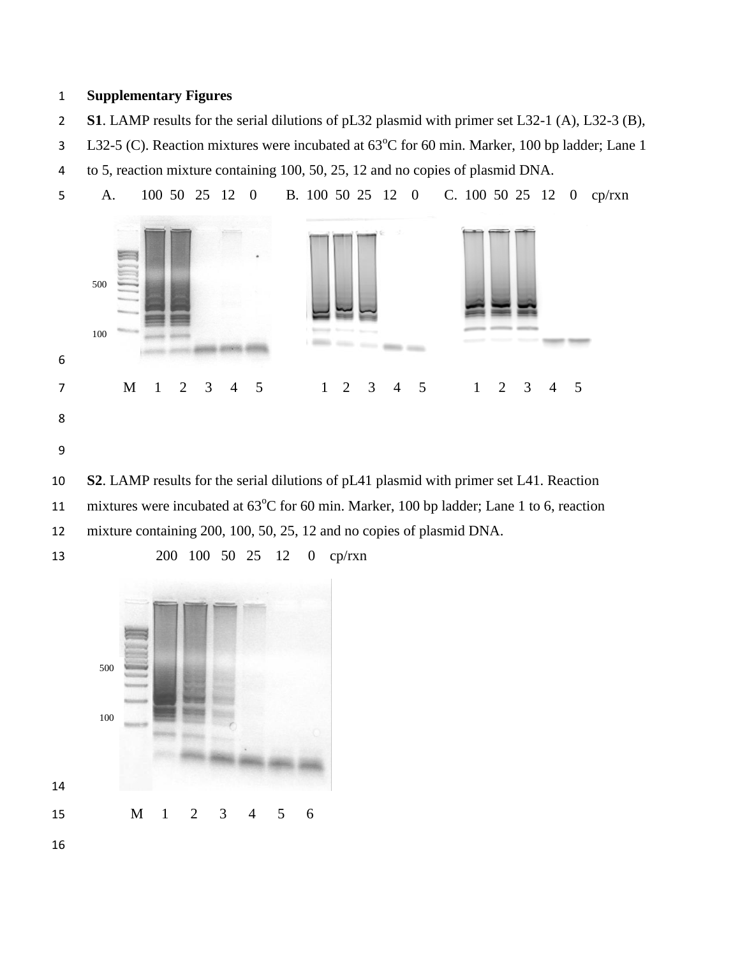## **Supplementary Figures**

- **S1**. LAMP results for the serial dilutions of pL32 plasmid with primer set L32-1 (A), L32-3 (B),
- 1 L32-5 (C). Reaction mixtures were incubated at 63°C for 60 min. Marker, 100 bp ladder; Lane 1 to 5, reaction mixture containing 100, 50, 25, 12 and no copies of plasmid DNA.



11 mixtures were incubated at  $63^{\circ}$ C for 60 min. Marker, 100 bp ladder; Lane 1 to 6, reaction mixture containing 200, 100, 50, 25, 12 and no copies of plasmid DNA.

 M 1 2 3 4 5 6 

200 100 50 25 12 0 cp/rxn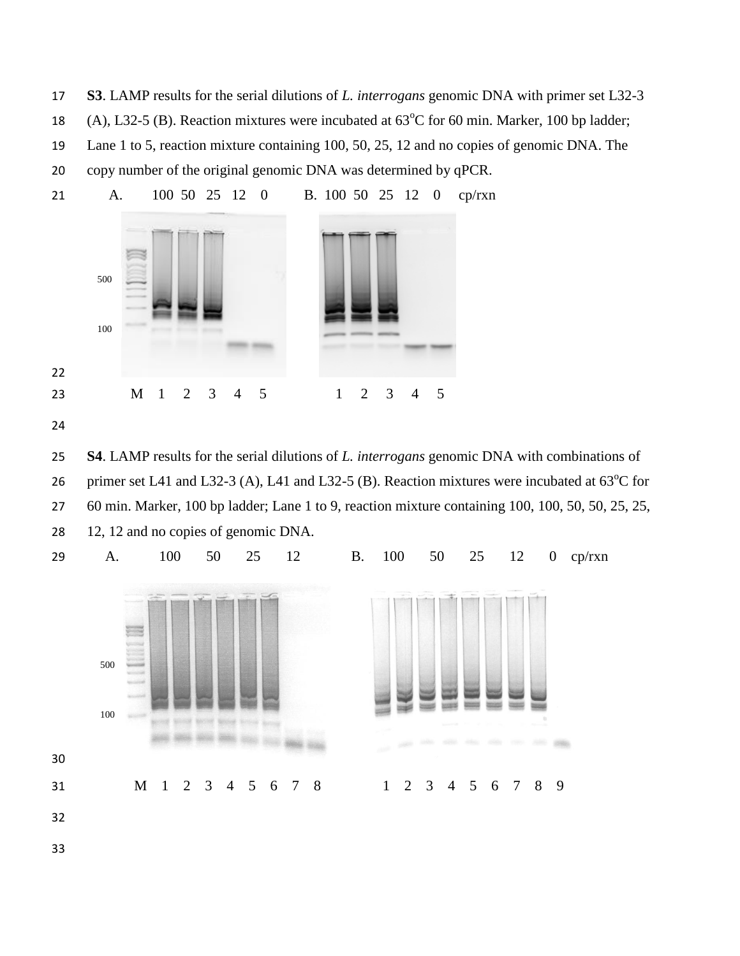**S3**. LAMP results for the serial dilutions of *L. interrogans* genomic DNA with primer set L32-3 18 (A), L32-5 (B). Reaction mixtures were incubated at  $63^{\circ}$ C for 60 min. Marker, 100 bp ladder; Lane 1 to 5, reaction mixture containing 100, 50, 25, 12 and no copies of genomic DNA. The



 **S4**. LAMP results for the serial dilutions of *L. interrogans* genomic DNA with combinations of 26 primer set L41 and L32-3 (A), L41 and L32-5 (B). Reaction mixtures were incubated at  $63^{\circ}$ C for 60 min. Marker, 100 bp ladder; Lane 1 to 9, reaction mixture containing 100, 100, 50, 50, 25, 25, 12, 12 and no copies of genomic DNA.

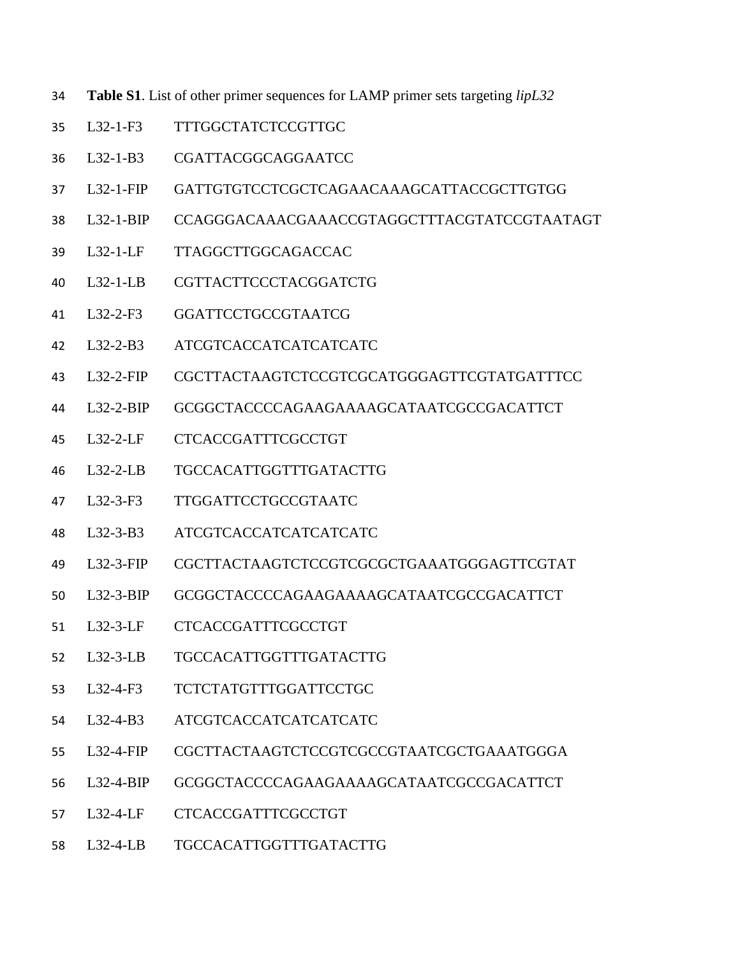- **Table S1**. List of other primer sequences for LAMP primer sets targeting *lipL32*
- L32-1-F3 TTTGGCTATCTCCGTTGC
- L32-1-B3 CGATTACGGCAGGAATCC
- L32-1-FIP GATTGTGTCCTCGCTCAGAACAAAGCATTACCGCTTGTGG
- L32-1-BIP CCAGGGACAAACGAAACCGTAGGCTTTACGTATCCGTAATAGT
- L32-1-LF TTAGGCTTGGCAGACCAC
- L32-1-LB CGTTACTTCCCTACGGATCTG
- L32-2-F3 GGATTCCTGCCGTAATCG
- L32-2-B3 ATCGTCACCATCATCATCATC
- L32-2-FIP CGCTTACTAAGTCTCCGTCGCATGGGAGTTCGTATGATTTCC
- L32-2-BIP GCGGCTACCCCAGAAGAAAAGCATAATCGCCGACATTCT
- L32-2-LF CTCACCGATTTCGCCTGT
- L32-2-LB TGCCACATTGGTTTGATACTTG
- L32-3-F3 TTGGATTCCTGCCGTAATC
- L32-3-B3 ATCGTCACCATCATCATCATC
- L32-3-FIP CGCTTACTAAGTCTCCGTCGCGCTGAAATGGGAGTTCGTAT
- L32-3-BIP GCGGCTACCCCAGAAGAAAAGCATAATCGCCGACATTCT
- L32-3-LF CTCACCGATTTCGCCTGT
- L32-3-LB TGCCACATTGGTTTGATACTTG
- L32-4-F3 TCTCTATGTTTGGATTCCTGC
- L32-4-B3 ATCGTCACCATCATCATCATC
- L32-4-FIP CGCTTACTAAGTCTCCGTCGCCGTAATCGCTGAAATGGGA
- L32-4-BIP GCGGCTACCCCAGAAGAAAAGCATAATCGCCGACATTCT
- L32-4-LF CTCACCGATTTCGCCTGT
- L32-4-LB TGCCACATTGGTTTGATACTTG